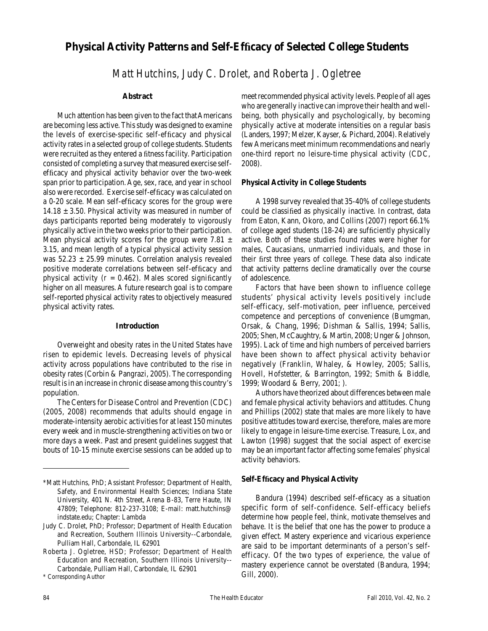# **Physical Activity Patterns and Self-Effi cacy of Selected College Students**

*Matt Hutchins, Judy C. Drolet, and Roberta J. Ogletree*

#### **Abstract**

Much attention has been given to the fact that Americans are becoming less active. This study was designed to examine the levels of exercise-specific self-efficacy and physical activity rates in a selected group of college students. Students were recruited as they entered a fitness facility. Participation consisted of completing a survey that measured exercise selfefficacy and physical activity behavior over the two-week span prior to participation. Age, sex, race, and year in school also were recorded. Exercise self-efficacy was calculated on a 0-20 scale. Mean self-efficacy scores for the group were  $14.18 \pm 3.50$ . Physical activity was measured in number of days participants reported being moderately to vigorously physically active in the two weeks prior to their participation. Mean physical activity scores for the group were 7.81  $\pm$ 3.15, and mean length of a typical physical activity session was  $52.23 \pm 25.99$  minutes. Correlation analysis revealed positive moderate correlations between self-efficacy and physical activity ( $r = 0.462$ ). Males scored significantly higher on all measures. A future research goal is to compare self-reported physical activity rates to objectively measured physical activity rates.

#### **Introduction**

Overweight and obesity rates in the United States have risen to epidemic levels. Decreasing levels of physical activity across populations have contributed to the rise in obesity rates (Corbin & Pangrazi, 2005). The corresponding result is in an increase in chronic disease among this country's population.

The Centers for Disease Control and Prevention (CDC) (2005, 2008) recommends that adults should engage in moderate-intensity aerobic activities for at least 150 minutes every week and in muscle-strengthening activities on two or more days a week. Past and present guidelines suggest that bouts of 10-15 minute exercise sessions can be added up to

\* Corresponding Author

meet recommended physical activity levels. People of all ages who are generally inactive can improve their health and wellbeing, both physically and psychologically, by becoming physically active at moderate intensities on a regular basis (Landers, 1997; Melzer, Kayser, & Pichard, 2004). Relatively few Americans meet minimum recommendations and nearly one-third report no leisure-time physical activity (CDC, 2008).

#### **Physical Activity in College Students**

A 1998 survey revealed that 35-40% of college students could be classified as physically inactive. In contrast, data from Eaton, Kann, Okoro, and Collins (2007) report 66.1% of college aged students  $(18-24)$  are sufficiently physically active. Both of these studies found rates were higher for males, Caucasians, unmarried individuals, and those in their first three years of college. These data also indicate that activity patterns decline dramatically over the course of adolescence.

Factors that have been shown to influence college students' physical activity levels positively include self-efficacy, self-motivation, peer influence, perceived competence and perceptions of convenience (Bumgman, Orsak, & Chang, 1996; Dishman & Sallis, 1994; Sallis, 2005; Shen, McCaughtry, & Martin, 2008; Unger & Johnson, 1995). Lack of time and high numbers of perceived barriers have been shown to affect physical activity behavior negatively (Franklin, Whaley, & Howley, 2005; Sallis, Hovell, Hofstetter, & Barrington, 1992; Smith & Biddle, 1999; Woodard & Berry, 2001; ).

Authors have theorized about differences between male and female physical activity behaviors and attitudes. Chung and Phillips (2002) state that males are more likely to have positive attitudes toward exercise, therefore, males are more likely to engage in leisure-time exercise. Treasure, Lox, and Lawton (1998) suggest that the social aspect of exercise may be an important factor affecting some females' physical activity behaviors.

#### **Self-Effi cacy and Physical Activity**

Bandura (1994) described self-efficacy as a situation specific form of self-confidence. Self-efficacy beliefs determine how people feel, think, motivate themselves and behave. It is the belief that one has the power to produce a given effect. Mastery experience and vicarious experience are said to be important determinants of a person's selfefficacy. Of the two types of experience, the value of mastery experience cannot be overstated (Bandura, 1994; Gill, 2000).

<sup>\*</sup>Matt Hutchins, PhD; Assistant Professor; Department of Health, Safety, and Environmental Health Sciences; Indiana State University, 401 N. 4th Street, Arena B-83, Terre Haute, IN 47809; Telephone: 812-237-3108; E-mail: matt.hutchins@ indstate.edu; Chapter: Lambda

Judy C. Drolet, PhD; Professor; Department of Health Education and Recreation, Southern Illinois University--Carbondale, Pulliam Hall, Carbondale, IL 62901

Roberta J. Ogletree, HSD; Professor; Department of Health Education and Recreation, Southern Illinois University-- Carbondale, Pulliam Hall, Carbondale, IL 62901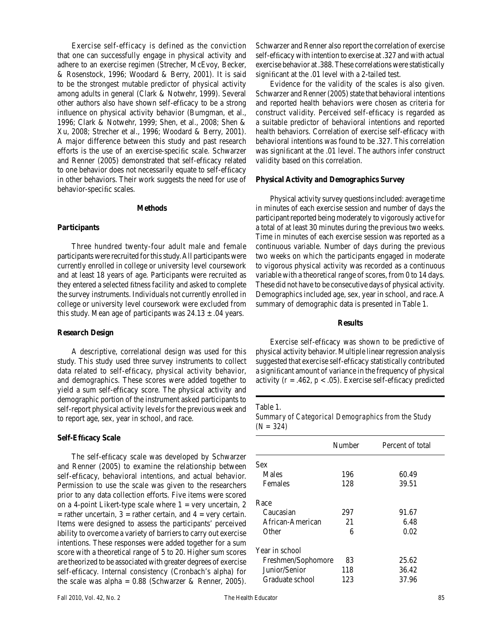Exercise self-efficacy is defined as the conviction that one can successfully engage in physical activity and adhere to an exercise regimen (Strecher, McEvoy, Becker, & Rosenstock, 1996; Woodard & Berry, 2001). It is said to be the strongest mutable predictor of physical activity among adults in general (Clark & Notwehr, 1999). Several other authors also have shown self-efficacy to be a strong influence on physical activity behavior (Bumgman, et al., 1996; Clark & Notwehr, 1999; Shen, et al., 2008; Shen & Xu, 2008; Strecher et al., 1996; Woodard & Berry, 2001). A major difference between this study and past research efforts is the use of an exercise-specific scale. Schwarzer and Renner (2005) demonstrated that self-efficacy related to one behavior does not necessarily equate to self-efficacy in other behaviors. Their work suggests the need for use of behavior-specific scales.

#### **Methods**

## **Participants**

Three hundred twenty-four adult male and female participants were recruited for this study. All participants were currently enrolled in college or university level coursework and at least 18 years of age. Participants were recruited as they entered a selected fitness facility and asked to complete the survey instruments. Individuals not currently enrolled in college or university level coursework were excluded from this study. Mean age of participants was  $24.13 \pm .04$  years.

## **Research Design**

A descriptive, correlational design was used for this study. This study used three survey instruments to collect data related to self-efficacy, physical activity behavior, and demographics. These scores were added together to yield a sum self-efficacy score. The physical activity and demographic portion of the instrument asked participants to self-report physical activity levels for the previous week and to report age, sex, year in school, and race.

## **Self-Effi cacy Scale**

The self-efficacy scale was developed by Schwarzer and Renner (2005) to examine the relationship between self-efficacy, behavioral intentions, and actual behavior. Permission to use the scale was given to the researchers prior to any data collection efforts. Five items were scored on a 4-point Likert-type scale where  $1 = \text{very uncertain}, 2$  $=$  rather uncertain,  $3 =$  rather certain, and  $4 =$  very certain. Items were designed to assess the participants' perceived ability to overcome a variety of barriers to carry out exercise intentions. These responses were added together for a sum score with a theoretical range of 5 to 20. Higher sum scores are theorized to be associated with greater degrees of exercise self-efficacy. Internal consistency (Cronbach's alpha) for the scale was alpha =  $0.88$  (Schwarzer & Renner, 2005). Schwarzer and Renner also report the correlation of exercise self-efficacy with intention to exercise at .327 and with actual exercise behavior at .388. These correlations were statistically significant at the .01 level with a 2-tailed test.

Evidence for the validity of the scales is also given. Schwarzer and Renner (2005) state that behavioral intentions and reported health behaviors were chosen as criteria for construct validity. Perceived self-efficacy is regarded as a suitable predictor of behavioral intentions and reported health behaviors. Correlation of exercise self-efficacy with behavioral intentions was found to be .327. This correlation was significant at the .01 level. The authors infer construct validity based on this correlation.

#### **Physical Activity and Demographics Survey**

Physical activity survey questions included: average time in minutes of each exercise session and number of days the participant reported being moderately to vigorously active for a total of at least 30 minutes during the previous two weeks. Time in minutes of each exercise session was reported as a continuous variable. Number of days during the previous two weeks on which the participants engaged in moderate to vigorous physical activity was recorded as a continuous variable with a theoretical range of scores, from 0 to 14 days. These did not have to be consecutive days of physical activity. Demographics included age, sex, year in school, and race. A summary of demographic data is presented in Table 1.

#### **Results**

Exercise self-efficacy was shown to be predictive of physical activity behavior. Multiple linear regression analysis suggested that exercise self-efficacy statistically contributed a significant amount of variance in the frequency of physical activity ( $r = .462$ ,  $p < .05$ ). Exercise self-efficacy predicted

### Table 1.

*Summary of Categorical Demographics from the Study (N = 324)*

| Number | Percent of total   |
|--------|--------------------|
|        |                    |
| 196    | 60.49              |
| 128    | 39.51              |
|        |                    |
| 297    | 91.67              |
| 21     | 6.48               |
| 6      | 0.02               |
|        |                    |
| 83     | 25.62              |
| 118    | 36.42              |
| 123    | 37.96              |
|        | Freshmen/Sophomore |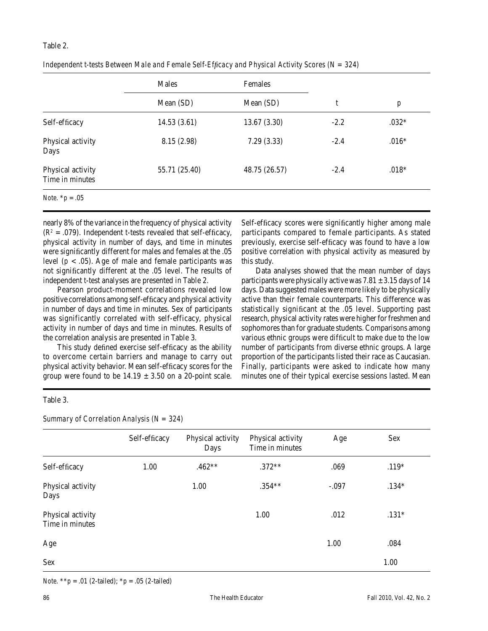### Table 2.

|                                      | Males<br>Females |               |        |                  |
|--------------------------------------|------------------|---------------|--------|------------------|
|                                      | Mean (SD)        | Mean (SD)     | t      | $\boldsymbol{p}$ |
| Self-efficacy                        | 14.53(3.61)      | 13.67(3.30)   | $-2.2$ | $.032*$          |
| Physical activity<br>Days            | 8.15 (2.98)      | 7.29(3.33)    | $-2.4$ | $.016*$          |
| Physical activity<br>Time in minutes | 55.71 (25.40)    | 48.75 (26.57) | $-2.4$ | $.018*$          |
| <i>Note.</i> $*_{p} = .05$           |                  |               |        |                  |

this study.

Self-efficacy scores were significantly higher among male participants compared to female participants. As stated previously, exercise self-efficacy was found to have a low positive correlation with physical activity as measured by

Data analyses showed that the mean number of days participants were physically active was  $7.81 \pm 3.15$  days of 14 days. Data suggested males were more likely to be physically active than their female counterparts. This difference was statistically significant at the .05 level. Supporting past research, physical activity rates were higher for freshmen and sophomores than for graduate students. Comparisons among various ethnic groups were difficult to make due to the low number of participants from diverse ethnic groups. A large proportion of the participants listed their race as Caucasian. Finally, participants were asked to indicate how many minutes one of their typical exercise sessions lasted. Mean

*Independent t-tests Between Male and Female Self-Efficacy and Physical Activity Scores (N = 324)* 

nearly 8% of the variance in the frequency of physical activity  $(R<sup>2</sup> = .079)$ . Independent *t*-tests revealed that self-efficacy, physical activity in number of days, and time in minutes were significantly different for males and females at the .05 level  $(p < .05)$ . Age of male and female participants was not significantly different at the .05 level. The results of independent *t*-test analyses are presented in Table 2.

Pearson product-moment correlations revealed low positive correlations among self-efficacy and physical activity in number of days and time in minutes. Sex of participants was significantly correlated with self-efficacy, physical activity in number of days and time in minutes. Results of the correlation analysis are presented in Table 3.

This study defined exercise self-efficacy as the ability to overcome certain barriers and manage to carry out physical activity behavior. Mean self-efficacy scores for the group were found to be  $14.19 \pm 3.50$  on a 20-point scale.

Table 3.

*Summary of Correlation Analysis (N = 324)*

Self-efficacy Physical activity Physical activity Age Sex Days Time in minutes Self-efficacy 1.00 .462\*\* .372\*\* .069 .119\* Physical activity 1.00 .354\*\* -.097 .134\* Days Physical activity 1.00 .012 .131<sup>\*</sup> Time in minutes  $Age$  1.00 .084  $S$ ex  $1.00$ 

*Note.*  $**p = .01$  (2-tailed);  $*p = .05$  (2-tailed)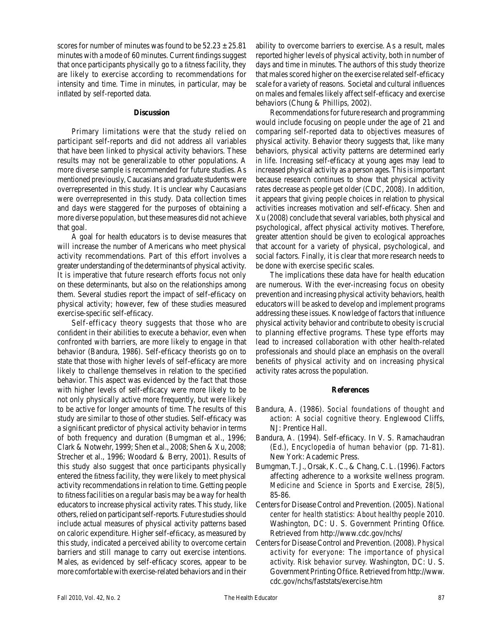scores for number of minutes was found to be  $52.23 \pm 25.81$ minutes with a mode of 60 minutes. Current findings suggest that once participants physically go to a fitness facility, they are likely to exercise according to recommendations for intensity and time. Time in minutes, in particular, may be inflated by self-reported data.

#### **Discussion**

Primary limitations were that the study relied on participant self-reports and did not address all variables that have been linked to physical activity behaviors. These results may not be generalizable to other populations. A more diverse sample is recommended for future studies. As mentioned previously, Caucasians and graduate students were overrepresented in this study. It is unclear why Caucasians were overrepresented in this study. Data collection times and days were staggered for the purposes of obtaining a more diverse population, but these measures did not achieve that goal.

A goal for health educators is to devise measures that will increase the number of Americans who meet physical activity recommendations. Part of this effort involves a greater understanding of the determinants of physical activity. It is imperative that future research efforts focus not only on these determinants, but also on the relationships among them. Several studies report the impact of self-efficacy on physical activity; however, few of these studies measured exercise-specific self-efficacy.

Self-efficacy theory suggests that those who are confident in their abilities to execute a behavior, even when confronted with barriers, are more likely to engage in that behavior (Bandura, 1986). Self-efficacy theorists go on to state that those with higher levels of self-efficacy are more likely to challenge themselves in relation to the specified behavior. This aspect was evidenced by the fact that those with higher levels of self-efficacy were more likely to be not only physically active more frequently, but were likely to be active for longer amounts of time. The results of this study are similar to those of other studies. Self-efficacy was a significant predictor of physical activity behavior in terms of both frequency and duration (Bumgman et al., 1996; Clark & Notwehr, 1999; Shen et al., 2008; Shen & Xu, 2008; Strecher et al., 1996; Woodard & Berry, 2001). Results of this study also suggest that once participants physically entered the fitness facility, they were likely to meet physical activity recommendations in relation to time. Getting people to fitness facilities on a regular basis may be a way for health educators to increase physical activity rates. This study, like others, relied on participant self-reports. Future studies should include actual measures of physical activity patterns based on caloric expenditure. Higher self-efficacy, as measured by this study, indicated a perceived ability to overcome certain barriers and still manage to carry out exercise intentions. Males, as evidenced by self-efficacy scores, appear to be more comfortable with exercise-related behaviors and in their

ability to overcome barriers to exercise. As a result, males reported higher levels of physical activity, both in number of days and time in minutes. The authors of this study theorize that males scored higher on the exercise related self-efficacy scale for a variety of reasons. Societal and cultural influences on males and females likely affect self-efficacy and exercise behaviors (Chung & Phillips, 2002).

Recommendations for future research and programming would include focusing on people under the age of 21 and comparing self-reported data to objectives measures of physical activity. Behavior theory suggests that, like many behaviors, physical activity patterns are determined early in life. Increasing self-efficacy at young ages may lead to increased physical activity as a person ages. This is important because research continues to show that physical activity rates decrease as people get older (CDC, 2008). In addition, it appears that giving people choices in relation to physical activities increases motivation and self-efficacy. Shen and Xu (2008) conclude that several variables, both physical and psychological, affect physical activity motives. Therefore, greater attention should be given to ecological approaches that account for a variety of physical, psychological, and social factors. Finally, it is clear that more research needs to be done with exercise specific scales.

The implications these data have for health education are numerous. With the ever-increasing focus on obesity prevention and increasing physical activity behaviors, health educators will be asked to develop and implement programs addressing these issues. Knowledge of factors that influence physical activity behavior and contribute to obesity is crucial to planning effective programs. These type efforts may lead to increased collaboration with other health-related professionals and should place an emphasis on the overall benefits of physical activity and on increasing physical activity rates across the population.

### **References**

- Bandura, A. (1986). *Social foundations of thought and action: A social cognitive theory.* Englewood Cliffs, NJ: Prentice Hall.
- Bandura, A. (1994). Self-efficacy. In V. S. Ramachaudran (Ed.), *Encyclopedia of human behavior* (pp. 71-81). New York: Academic Press.
- Bumgman, T. J., Orsak, K. C., & Chang, C. L. (1996). Factors affecting adherence to a worksite wellness program. *Medicine and Science in Sports and Exercise, 28*(5), 85-86.
- Centers for Disease Control and Prevention. (2005). *National center for health statistics: About healthy people 2010.*  Washington, DC: U. S. Government Printing Office. Retrieved from http://www.cdc.gov/nchs/
- Centers for Disease Control and Prevention. (2008). *Physical activity for everyone: The importance of physical activity. Risk behavior survey.* Washington, DC: U. S. Government Printing Office. Retrieved from http://www. cdc.gov/nchs/faststats/exercise.htm